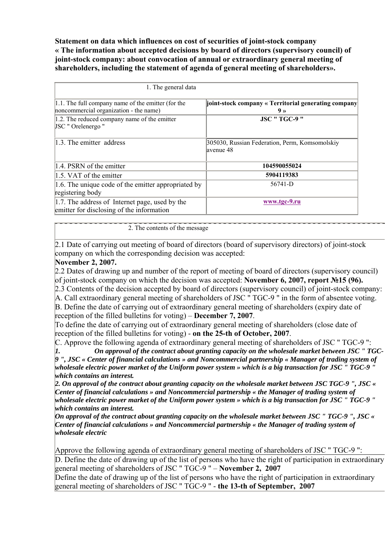**Statement on data which influences on cost of securities of joint-stock company « The information about accepted decisions by board of directors (supervisory council) of joint-stock company: about convocation of annual or extraordinary general meeting of shareholders, including the statement of agenda of general meeting of shareholders».** 

| 1. The general data                                                                                 |                                                                        |
|-----------------------------------------------------------------------------------------------------|------------------------------------------------------------------------|
| $ 1.1$ . The full company name of the emitter (for the<br>noncommercial organization - the name)    | joint-stock company « Territorial generating company<br>9 <sub>2</sub> |
| 1.2. The reduced company name of the emitter<br>JSC " Orelenergo "                                  | <b>JSC " TGC-9 "</b>                                                   |
| 1.3. The emitter address                                                                            | 305030, Russian Federation, Perm, Komsomolskiy<br>lavenue 48           |
| 1.4. PSRN of the emitter                                                                            | 104590055024                                                           |
| 1.5. VAT of the emitter                                                                             | 5904119383                                                             |
| 1.6. The unique code of the emitter appropriated by<br>registering body                             | 56741-D                                                                |
| $\vert 1.7.$ The address of Internet page, used by the<br>emitter for disclosing of the information | www.tgc-9.ru                                                           |

2. The contents of the message

2.1 Date of carrying out meeting of board of directors (board of supervisory directors) of joint-stock company on which the corresponding decision was accepted:

## **November 2, 2007.**

2.2 Dates of drawing up and number of the report of meeting of board of directors (supervisory council) of joint-stock company on which the decision was accepted: **November 6, 2007, report №15 (96).** 2.3 Contents of the decision accepted by board of directors (supervisory council) of joint-stock company: A. Сall extraordinary general meeting of shareholders of JSC " TGC-9 " in the form of absentee voting.

B. Define the date of carrying out of extraordinary general meeting of shareholders (expiry date of reception of the filled bulletins for voting) – **December 7, 2007**.

To define the date of carrying out of extraordinary general meeting of shareholders (close date of reception of the filled bulletins for voting) - **on the 25-th of October, 2007**.

C. Approve the following agenda of extraordinary general meeting of shareholders of JSC " TGC-9 ":

*1. On approval of the contract about granting capacity on the wholesale market between JSC " TGC-9 ", JSC « Center of financial calculations » and Noncommercial partnership « Manager of trading system of wholesale electric power market of the Uniform power system » which is a big transaction for JSC " TGC-9 " which contains an interest.*

*2. On approval of the contract about granting capacity on the wholesale market between JSC TGC-9 ", JSC « Center of financial calculations » and Noncommercial partnership « the Manager of trading system of wholesale electric power market of the Uniform power system » which is a big transaction for JSC " TGC-9 " which contains an interest.* 

*On approval of the contract about granting capacity on the wholesale market between JSC " TGC-9 ", JSC « Center of financial calculations » and Noncommercial partnership « the Manager of trading system of wholesale electric* 

Approve the following agenda of extraordinary general meeting of shareholders of JSC " TGC-9 ":

D. Define the date of drawing up of the list of persons who have the right of participation in extraordinary general meeting of shareholders of JSC " TGC-9 " – **November 2, 2007**

Define the date of drawing up of the list of persons who have the right of participation in extraordinary general meeting of shareholders of JSC " TGC-9 " - **the 13-th of September, 2007**